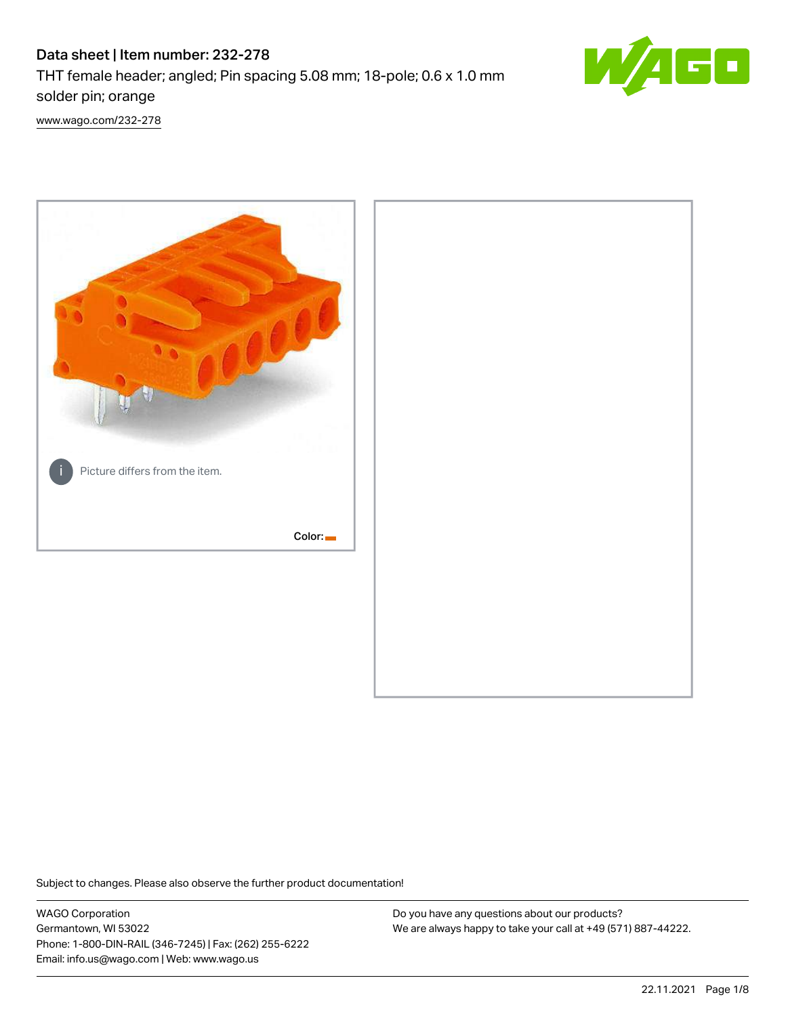# Data sheet | Item number: 232-278

THT female header; angled; Pin spacing 5.08 mm; 18-pole; 0.6 x 1.0 mm solder pin; orange



[www.wago.com/232-278](http://www.wago.com/232-278)



Subject to changes. Please also observe the further product documentation!

WAGO Corporation Germantown, WI 53022 Phone: 1-800-DIN-RAIL (346-7245) | Fax: (262) 255-6222 Email: info.us@wago.com | Web: www.wago.us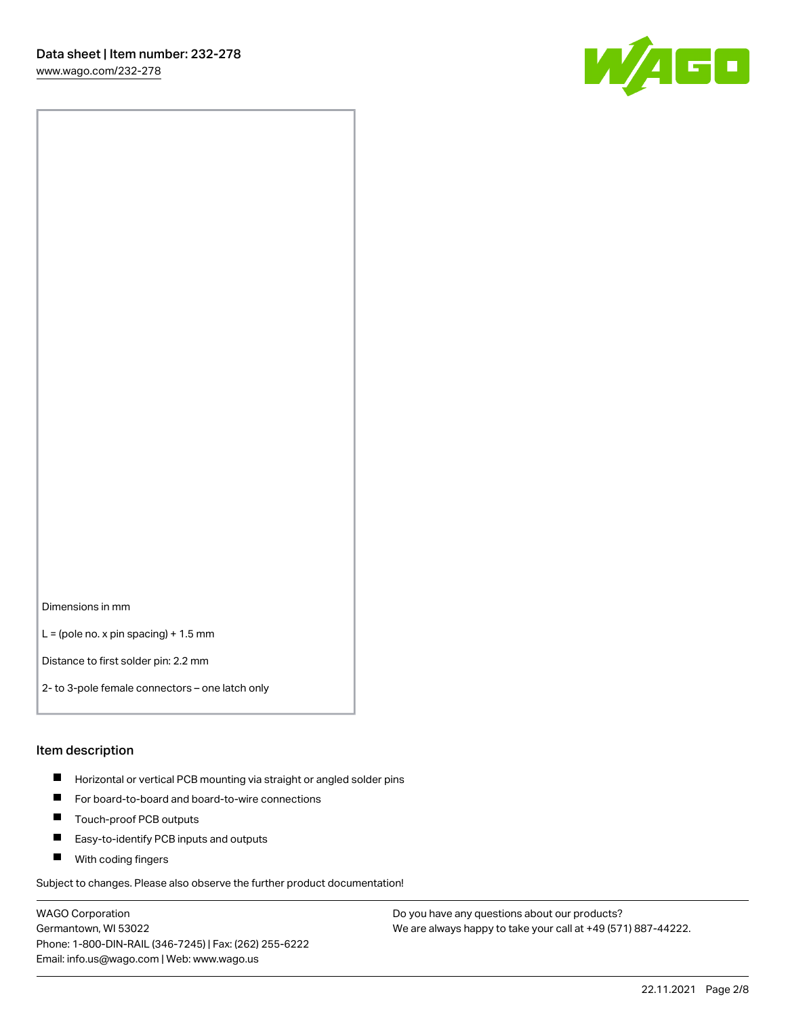[www.wago.com/232-278](http://www.wago.com/232-278)



Dimensions in mm

 $L =$  (pole no. x pin spacing) + 1.5 mm

Distance to first solder pin: 2.2 mm

2- to 3-pole female connectors – one latch only

#### Item description

- **Horizontal or vertical PCB mounting via straight or angled solder pins**
- For board-to-board and board-to-wire connections
- $\blacksquare$ Touch-proof PCB outputs
- $\blacksquare$ Easy-to-identify PCB inputs and outputs
- **Now With coding fingers**

Subject to changes. Please also observe the further product documentation!

WAGO Corporation Germantown, WI 53022 Phone: 1-800-DIN-RAIL (346-7245) | Fax: (262) 255-6222 Email: info.us@wago.com | Web: www.wago.us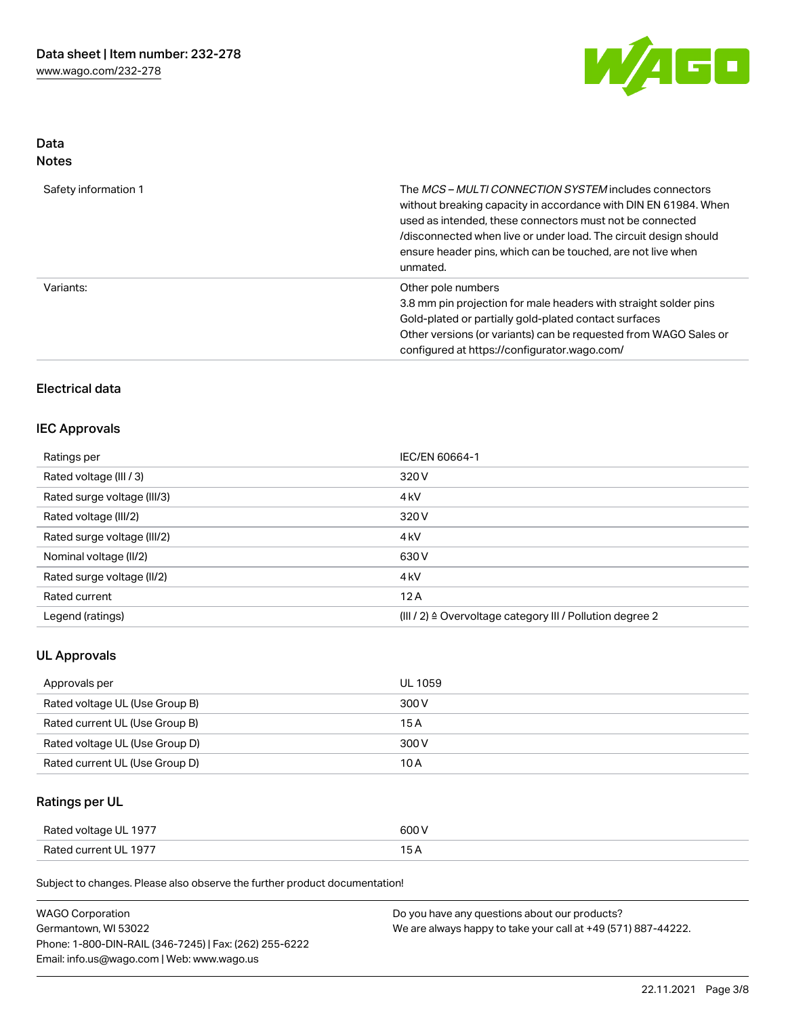

## Data Notes

| Safety information 1 | The <i>MCS – MULTI CONNECTION SYSTEM</i> includes connectors<br>without breaking capacity in accordance with DIN EN 61984. When<br>used as intended, these connectors must not be connected<br>/disconnected when live or under load. The circuit design should<br>ensure header pins, which can be touched, are not live when<br>unmated. |
|----------------------|--------------------------------------------------------------------------------------------------------------------------------------------------------------------------------------------------------------------------------------------------------------------------------------------------------------------------------------------|
| Variants:            | Other pole numbers<br>3.8 mm pin projection for male headers with straight solder pins<br>Gold-plated or partially gold-plated contact surfaces<br>Other versions (or variants) can be requested from WAGO Sales or<br>configured at https://configurator.wago.com/                                                                        |

# Electrical data

#### IEC Approvals

| Ratings per                 | IEC/EN 60664-1                                                       |
|-----------------------------|----------------------------------------------------------------------|
| Rated voltage (III / 3)     | 320 V                                                                |
| Rated surge voltage (III/3) | 4 <sub>k</sub> V                                                     |
| Rated voltage (III/2)       | 320 V                                                                |
| Rated surge voltage (III/2) | 4 <sub>k</sub> V                                                     |
| Nominal voltage (II/2)      | 630 V                                                                |
| Rated surge voltage (II/2)  | 4 <sub>k</sub> V                                                     |
| Rated current               | 12A                                                                  |
| Legend (ratings)            | (III / 2) $\triangleq$ Overvoltage category III / Pollution degree 2 |

# UL Approvals

| Approvals per                  | UL 1059 |
|--------------------------------|---------|
| Rated voltage UL (Use Group B) | 300 V   |
| Rated current UL (Use Group B) | 15 A    |
| Rated voltage UL (Use Group D) | 300 V   |
| Rated current UL (Use Group D) | 10 A    |

# Ratings per UL

| Rated voltage UL 1977 | 600 V |
|-----------------------|-------|
| Rated current UL 1977 |       |

Subject to changes. Please also observe the further product documentation!

| <b>WAGO Corporation</b>                                | Do you have any questions about our products?                 |
|--------------------------------------------------------|---------------------------------------------------------------|
| Germantown, WI 53022                                   | We are always happy to take your call at +49 (571) 887-44222. |
| Phone: 1-800-DIN-RAIL (346-7245)   Fax: (262) 255-6222 |                                                               |
| Email: info.us@wago.com   Web: www.wago.us             |                                                               |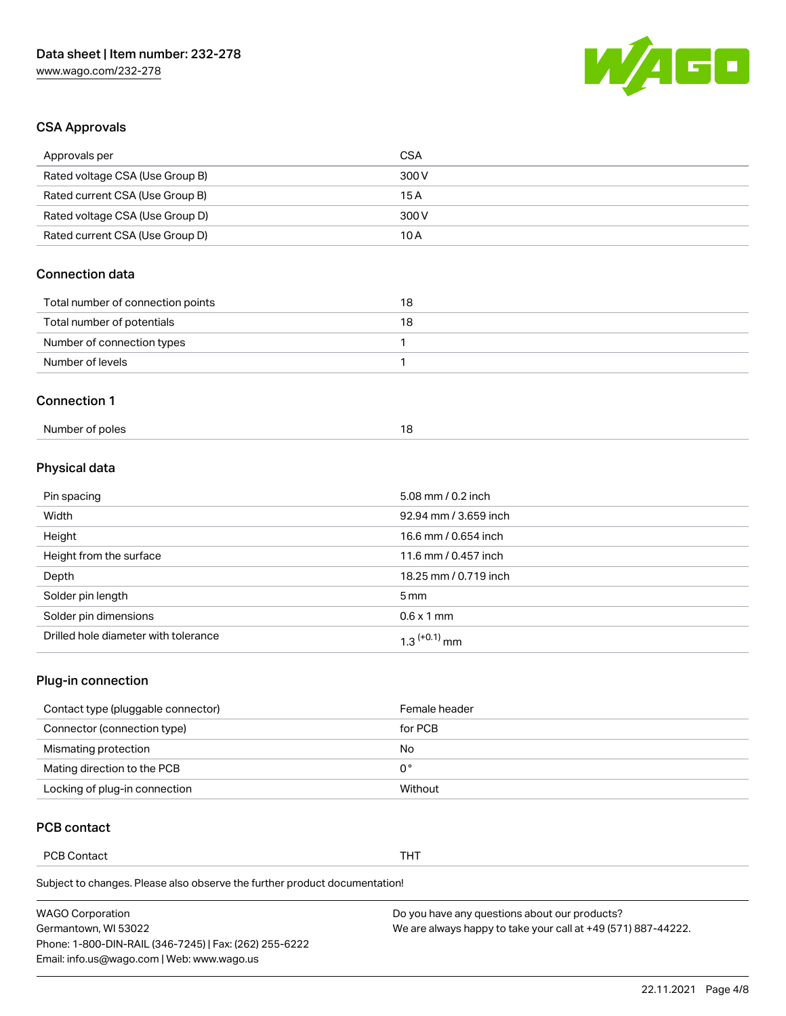

# CSA Approvals

| Approvals per                     | <b>CSA</b> |  |
|-----------------------------------|------------|--|
| Rated voltage CSA (Use Group B)   | 300 V      |  |
| Rated current CSA (Use Group B)   | 15 A       |  |
| Rated voltage CSA (Use Group D)   | 300 V      |  |
| Rated current CSA (Use Group D)   | 10A        |  |
| <b>Connection data</b>            |            |  |
| Total number of connection points | 18         |  |
| Total number of potentials        | 18         |  |
| Number of connection types        | 1          |  |
| Number of levels                  | 1          |  |
| <b>Connection 1</b>               |            |  |
|                                   |            |  |

#### Physical data

| Pin spacing                          | 5.08 mm / 0.2 inch    |
|--------------------------------------|-----------------------|
| Width                                | 92.94 mm / 3.659 inch |
| Height                               | 16.6 mm / 0.654 inch  |
| Height from the surface              | 11.6 mm / 0.457 inch  |
| Depth                                | 18.25 mm / 0.719 inch |
| Solder pin length                    | $5 \,\mathrm{mm}$     |
| Solder pin dimensions                | $0.6 \times 1$ mm     |
| Drilled hole diameter with tolerance | $1.3$ $(+0.1)$ mm     |

# Plug-in connection

| Contact type (pluggable connector) | Female header |
|------------------------------------|---------------|
| Connector (connection type)        | for PCB       |
| Mismating protection               | No            |
| Mating direction to the PCB        | 0°            |
| Locking of plug-in connection      | Without       |

## PCB contact

PCB Contact **THT** 

Subject to changes. Please also observe the further product documentation!

| <b>WAGO Corporation</b>                                | Do you have any questions about our products?                 |
|--------------------------------------------------------|---------------------------------------------------------------|
| Germantown, WI 53022                                   | We are always happy to take your call at +49 (571) 887-44222. |
| Phone: 1-800-DIN-RAIL (346-7245)   Fax: (262) 255-6222 |                                                               |
| Email: info.us@wago.com   Web: www.wago.us             |                                                               |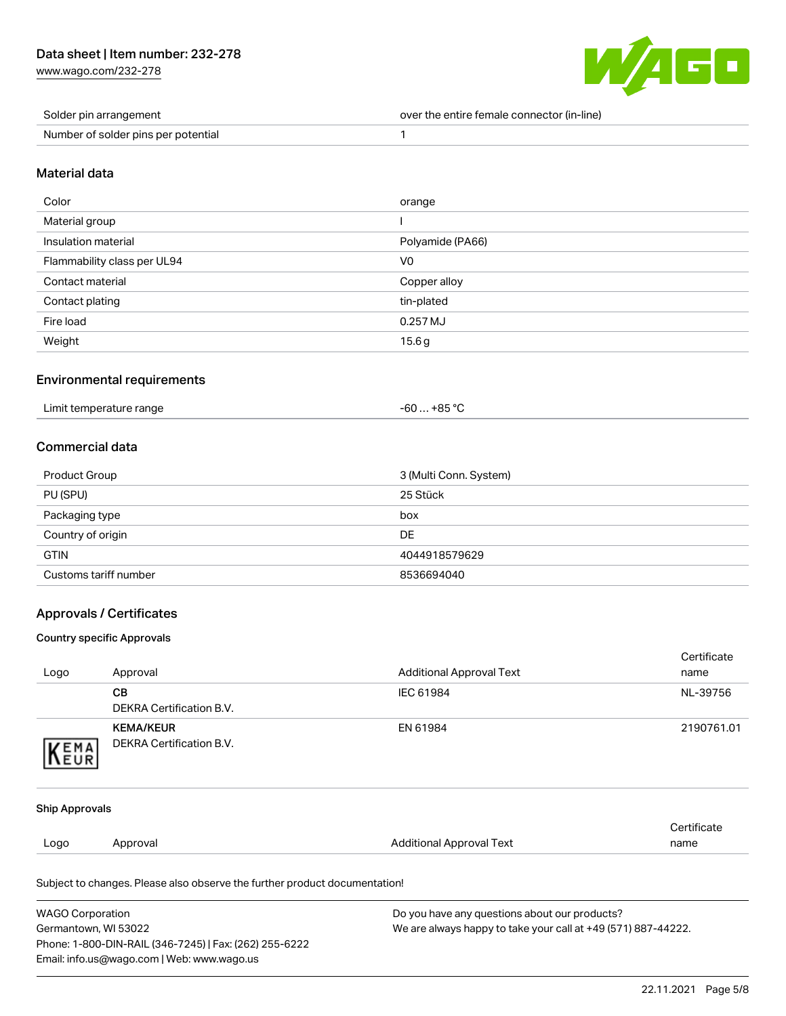[www.wago.com/232-278](http://www.wago.com/232-278)



| Solder pin arrangement              | over the entire female connector (in-line) |
|-------------------------------------|--------------------------------------------|
| Number of solder pins per potential |                                            |

#### Material data

| Color                       | orange           |
|-----------------------------|------------------|
| Material group              |                  |
| Insulation material         | Polyamide (PA66) |
| Flammability class per UL94 | V <sub>0</sub>   |
| Contact material            | Copper alloy     |
| Contact plating             | tin-plated       |
| Fire load                   | $0.257$ MJ       |
| Weight                      | 15.6g            |

#### Environmental requirements

| Limit temperature range | -60  +85 °C |
|-------------------------|-------------|
|                         |             |

## Commercial data

| Product Group         | 3 (Multi Conn. System) |
|-----------------------|------------------------|
| PU (SPU)              | 25 Stück               |
| Packaging type        | box                    |
| Country of origin     | DE                     |
| <b>GTIN</b>           | 4044918579629          |
| Customs tariff number | 8536694040             |

### Approvals / Certificates

#### Country specific Approvals

Phone: 1-800-DIN-RAIL (346-7245) | Fax: (262) 255-6222

Email: info.us@wago.com | Web: www.wago.us

|                                                                                       |                                                                            |                                 | Certificate |
|---------------------------------------------------------------------------------------|----------------------------------------------------------------------------|---------------------------------|-------------|
| Logo                                                                                  | Approval                                                                   | <b>Additional Approval Text</b> | name        |
|                                                                                       | <b>CB</b>                                                                  | IEC 61984                       | NL-39756    |
|                                                                                       | <b>DEKRA Certification B.V.</b>                                            |                                 |             |
|                                                                                       | <b>KEMA/KEUR</b>                                                           | EN 61984                        | 2190761.01  |
| <b>EMA</b>                                                                            | <b>DEKRA Certification B.V.</b>                                            |                                 |             |
|                                                                                       |                                                                            |                                 |             |
|                                                                                       |                                                                            |                                 |             |
| <b>Ship Approvals</b>                                                                 |                                                                            |                                 |             |
|                                                                                       |                                                                            |                                 | Certificate |
| Logo                                                                                  | Approval                                                                   | <b>Additional Approval Text</b> | name        |
|                                                                                       | Subject to changes. Please also observe the further product documentation! |                                 |             |
| Do you have any questions about our products?<br><b>WAGO Corporation</b>              |                                                                            |                                 |             |
| Germantown, WI 53022<br>We are always happy to take your call at +49 (571) 887-44222. |                                                                            |                                 |             |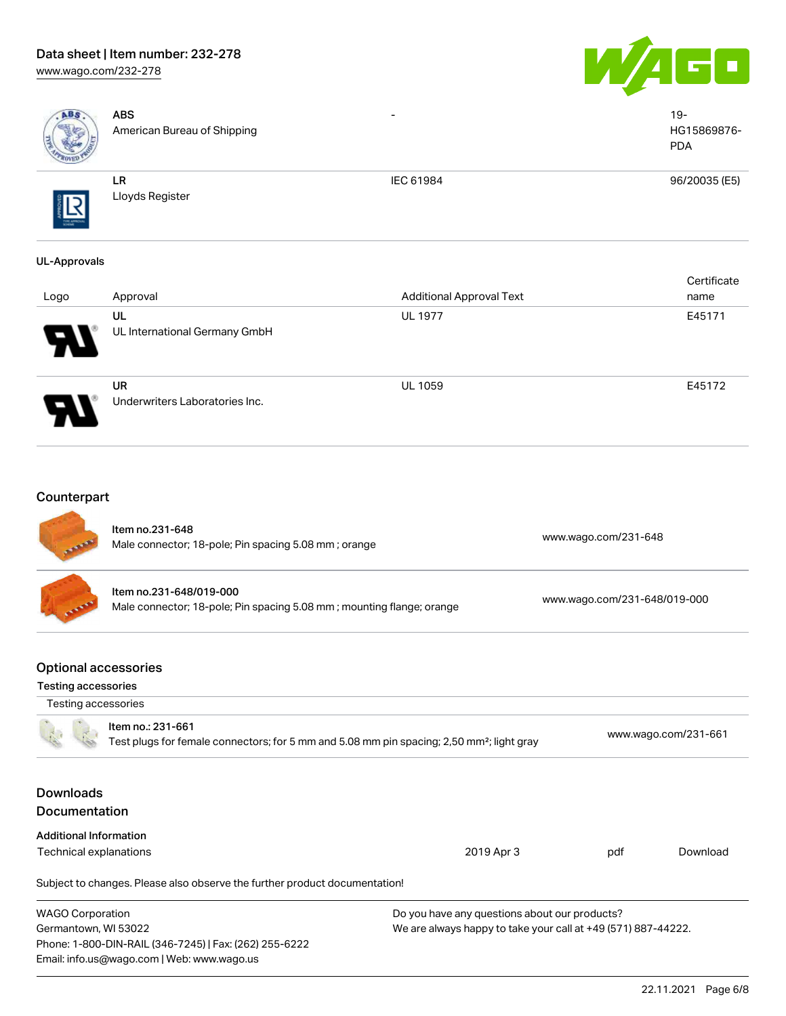# Data sheet | Item number: 232-278

[www.wago.com/232-278](http://www.wago.com/232-278)





| ABS                                                                              | <b>ABS</b><br>American Bureau of Shipping                                                                                  |                                                                                                                |                              | $19 -$<br>HG15869876-<br><b>PDA</b> |
|----------------------------------------------------------------------------------|----------------------------------------------------------------------------------------------------------------------------|----------------------------------------------------------------------------------------------------------------|------------------------------|-------------------------------------|
|                                                                                  | LR<br>Lloyds Register                                                                                                      | IEC 61984                                                                                                      |                              | 96/20035 (E5)                       |
| <b>UL-Approvals</b>                                                              |                                                                                                                            |                                                                                                                |                              |                                     |
| Logo                                                                             | Approval                                                                                                                   | <b>Additional Approval Text</b>                                                                                |                              | Certificate<br>name                 |
|                                                                                  | UL<br>UL International Germany GmbH                                                                                        | <b>UL 1977</b>                                                                                                 |                              | E45171                              |
|                                                                                  | <b>UR</b><br>Underwriters Laboratories Inc.                                                                                | <b>UL 1059</b>                                                                                                 |                              | E45172                              |
| Counterpart                                                                      | Item no.231-648<br>Male connector; 18-pole; Pin spacing 5.08 mm; orange                                                    |                                                                                                                | www.wago.com/231-648         |                                     |
|                                                                                  | Item no.231-648/019-000<br>Male connector; 18-pole; Pin spacing 5.08 mm; mounting flange; orange                           |                                                                                                                | www.wago.com/231-648/019-000 |                                     |
| <b>Optional accessories</b><br><b>Testing accessories</b><br>Testing accessories |                                                                                                                            |                                                                                                                |                              |                                     |
|                                                                                  | Item no.: 231-661<br>Test plugs for female connectors; for 5 mm and 5.08 mm pin spacing; 2,50 mm <sup>2</sup> ; light gray |                                                                                                                |                              | www.wago.com/231-661                |
| <b>Downloads</b><br>Documentation                                                |                                                                                                                            |                                                                                                                |                              |                                     |
| <b>Additional Information</b>                                                    |                                                                                                                            |                                                                                                                |                              |                                     |
| <b>Technical explanations</b>                                                    |                                                                                                                            | 2019 Apr 3                                                                                                     | pdf                          | Download                            |
|                                                                                  | Subject to changes. Please also observe the further product documentation!                                                 |                                                                                                                |                              |                                     |
| <b>WAGO Corporation</b><br>Germantown, WI 53022                                  | Phone: 1-800-DIN-RAIL (346-7245)   Fax: (262) 255-6222<br>Email: info.us@wago.com   Web: www.wago.us                       | Do you have any questions about our products?<br>We are always happy to take your call at +49 (571) 887-44222. |                              |                                     |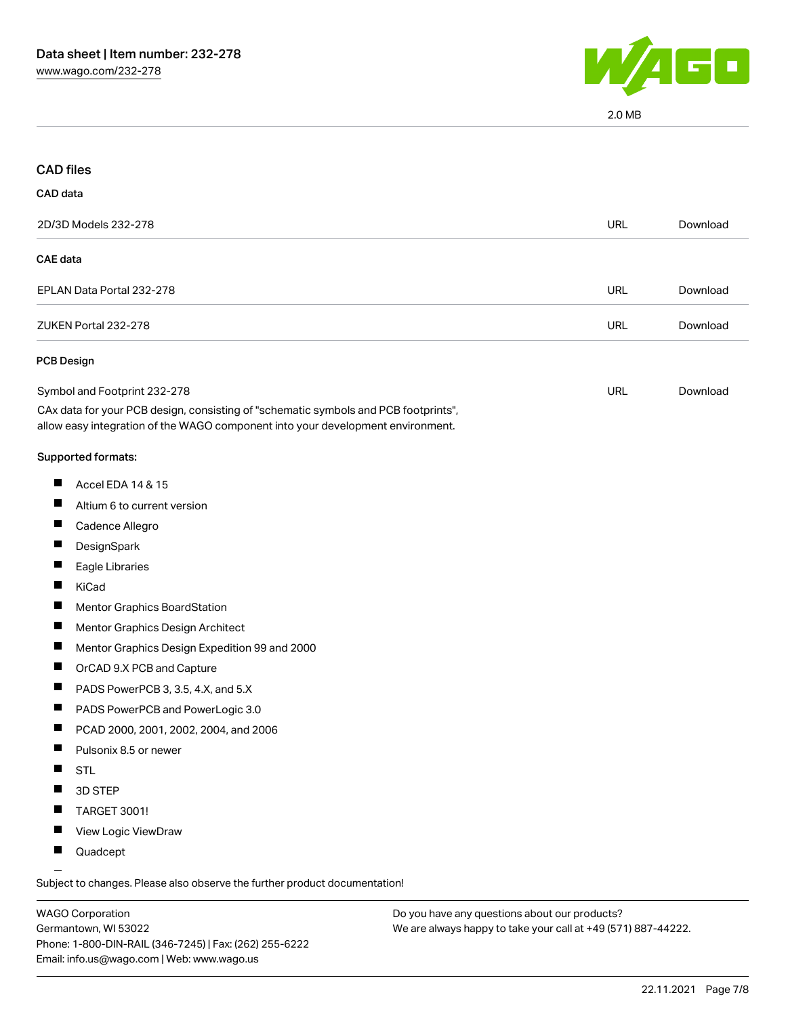

2.0 MB

| <b>CAD files</b>                                                |                                                                                                                                                                        |            |          |
|-----------------------------------------------------------------|------------------------------------------------------------------------------------------------------------------------------------------------------------------------|------------|----------|
| CAD data                                                        |                                                                                                                                                                        |            |          |
| 2D/3D Models 232-278                                            |                                                                                                                                                                        | <b>URL</b> | Download |
| <b>CAE</b> data                                                 |                                                                                                                                                                        |            |          |
| EPLAN Data Portal 232-278                                       |                                                                                                                                                                        | <b>URL</b> | Download |
| ZUKEN Portal 232-278                                            |                                                                                                                                                                        | <b>URL</b> | Download |
| <b>PCB Design</b>                                               |                                                                                                                                                                        |            |          |
| Symbol and Footprint 232-278                                    |                                                                                                                                                                        | <b>URL</b> | Download |
|                                                                 | CAx data for your PCB design, consisting of "schematic symbols and PCB footprints",<br>allow easy integration of the WAGO component into your development environment. |            |          |
| Supported formats:                                              |                                                                                                                                                                        |            |          |
| $\blacksquare$<br>Accel EDA 14 & 15                             |                                                                                                                                                                        |            |          |
| Altium 6 to current version                                     |                                                                                                                                                                        |            |          |
| H<br>Cadence Allegro                                            |                                                                                                                                                                        |            |          |
| DesignSpark                                                     |                                                                                                                                                                        |            |          |
| Eagle Libraries                                                 |                                                                                                                                                                        |            |          |
| H<br>KiCad                                                      |                                                                                                                                                                        |            |          |
| <b>Mentor Graphics BoardStation</b>                             |                                                                                                                                                                        |            |          |
| Mentor Graphics Design Architect                                |                                                                                                                                                                        |            |          |
| $\blacksquare$<br>Mentor Graphics Design Expedition 99 and 2000 |                                                                                                                                                                        |            |          |
| OrCAD 9.X PCB and Capture                                       |                                                                                                                                                                        |            |          |
| PADS PowerPCB 3, 3.5, 4.X, and 5.X                              |                                                                                                                                                                        |            |          |
| PADS PowerPCB and PowerLogic 3.0<br>ш                           |                                                                                                                                                                        |            |          |
| ш<br>PCAD 2000, 2001, 2002, 2004, and 2006                      |                                                                                                                                                                        |            |          |
| Pulsonix 8.5 or newer                                           |                                                                                                                                                                        |            |          |
| <b>STL</b><br>ш                                                 |                                                                                                                                                                        |            |          |
| 3D STEP                                                         |                                                                                                                                                                        |            |          |
| TARGET 3001!                                                    |                                                                                                                                                                        |            |          |
| View Logic ViewDraw<br>ш                                        |                                                                                                                                                                        |            |          |
| Quadcept<br>ш                                                   |                                                                                                                                                                        |            |          |

WAGO Corporation Germantown, WI 53022 Phone: 1-800-DIN-RAIL (346-7245) | Fax: (262) 255-6222 Email: info.us@wago.com | Web: www.wago.us